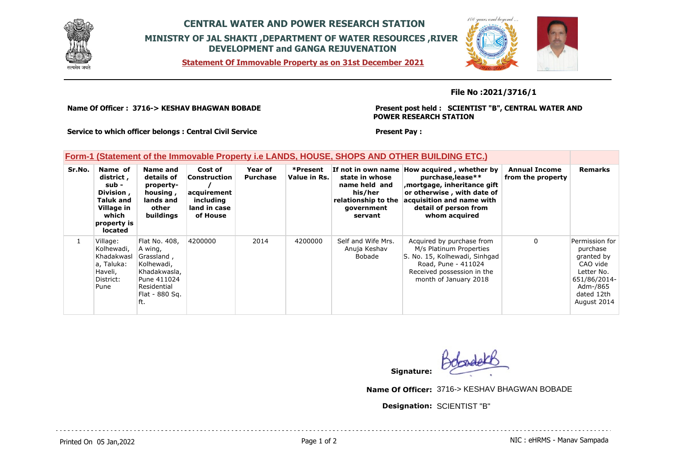

## **CENTRAL WATER AND POWER RESEARCH STATION MINISTRY OF JAL SHAKTI ,DEPARTMENT OF WATER RESOURCES ,RIVER DEVELOPMENT and GANGA REJUVENATION**

**Statement Of Immovable Property as on 31st December 2021**



### **File No :2021/3716/1**

**Name Of Officer : 3716-> KESHAV BHAGWAN BOBADE** 

**Present post held : SCIENTIST "B", CENTRAL WATER AND POWER RESEARCH STATION**

**Service to which officer belongs : Central Civil Service**

#### **Present Pay :**

### **Form-1 (Statement of the Immovable Property i.e LANDS, HOUSE, SHOPS AND OTHER BUILDING ETC.)**

| Sr.No. | Name of<br>district,<br>sub -<br>Division,<br><b>Taluk and</b><br>Village in<br>which<br>property is<br>located | Name and<br>details of<br>property-<br>housing,<br>lands and<br>other<br>buildings                                          | Cost of<br><b>Construction</b><br>acquirement<br>including<br>land in case<br>of House | Year of<br><b>Purchase</b> | *Present<br>Value in Rs. | state in whose<br>name held and<br>his/her<br>relationship to the<br>government<br>servant | If not in own name How acquired, whether by<br>purchase, lease**<br>mortgage, inheritance gift<br>or otherwise, with date of<br>acquisition and name with<br>detail of person from<br>whom acquired | <b>Annual Income</b><br>from the property | <b>Remarks</b>                                                                                                              |
|--------|-----------------------------------------------------------------------------------------------------------------|-----------------------------------------------------------------------------------------------------------------------------|----------------------------------------------------------------------------------------|----------------------------|--------------------------|--------------------------------------------------------------------------------------------|-----------------------------------------------------------------------------------------------------------------------------------------------------------------------------------------------------|-------------------------------------------|-----------------------------------------------------------------------------------------------------------------------------|
|        | Village:<br>Kolhewadi,<br>Khadakwasl<br>a, Taluka:<br>Haveli,<br>District:<br>Pune                              | Flat No. 408,<br>A wing,<br>Grassland,<br>Kolhewadi,<br>Khadakwasla,<br>Pune 411024<br>Residential<br>Flat - 880 Sq.<br>ft. | 4200000                                                                                | 2014                       | 4200000                  | Self and Wife Mrs.<br>Anuja Keshav<br>Bobade                                               | Acquired by purchase from<br>M/s Platinum Properties<br>S. No. 15, Kolhewadi, Sinhgad<br>Road, Pune - 411024<br>Received possession in the<br>month of January 2018                                 | 0                                         | Permission for<br>purchase<br>granted by<br>CAO vide<br>Letter No.<br>651/86/2014-<br>Adm-/865<br>dated 12th<br>August 2014 |

**Signature:**

**Name Of Officer:** 3716-> KESHAV BHAGWAN BOBADE

**Designation:** SCIENTIST "B"

Printed On 05 Jan, 2022 **Page 1 of 2** Page 1 of 2 Page 1 of 2 NIC : eHRMS - Manav Sampada